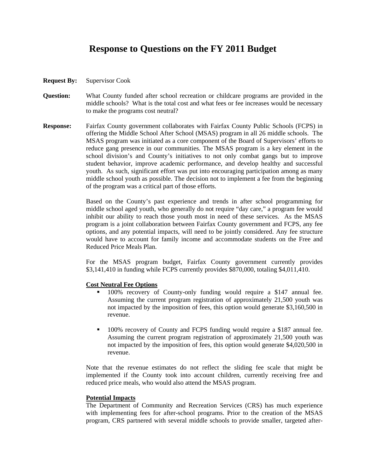## **Response to Questions on the FY 2011 Budget**

- **Request By:** Supervisor Cook
- **Question:** What County funded after school recreation or childcare programs are provided in the middle schools? What is the total cost and what fees or fee increases would be necessary to make the programs cost neutral?
- **Response:** Fairfax County government collaborates with Fairfax County Public Schools (FCPS) in offering the Middle School After School (MSAS) program in all 26 middle schools. The MSAS program was initiated as a core component of the Board of Supervisors' efforts to reduce gang presence in our communities. The MSAS program is a key element in the school division's and County's initiatives to not only combat gangs but to improve student behavior, improve academic performance, and develop healthy and successful youth. As such, significant effort was put into encouraging participation among as many middle school youth as possible. The decision not to implement a fee from the beginning of the program was a critical part of those efforts.

 Based on the County's past experience and trends in after school programming for middle school aged youth, who generally do not require "day care," a program fee would inhibit our ability to reach those youth most in need of these services. As the MSAS program is a joint collaboration between Fairfax County government and FCPS, any fee options, and any potential impacts, will need to be jointly considered. Any fee structure would have to account for family income and accommodate students on the Free and Reduced Price Meals Plan.

 For the MSAS program budget, Fairfax County government currently provides \$3,141,410 in funding while FCPS currently provides \$870,000, totaling \$4,011,410.

## **Cost Neutral Fee Options**

- 100% recovery of County-only funding would require a \$147 annual fee. Assuming the current program registration of approximately 21,500 youth was not impacted by the imposition of fees, this option would generate \$3,160,500 in revenue.
- 100% recovery of County and FCPS funding would require a \$187 annual fee. Assuming the current program registration of approximately 21,500 youth was not impacted by the imposition of fees, this option would generate \$4,020,500 in revenue.

 Note that the revenue estimates do not reflect the sliding fee scale that might be implemented if the County took into account children, currently receiving free and reduced price meals, who would also attend the MSAS program.

## **Potential Impacts**

 The Department of Community and Recreation Services (CRS) has much experience with implementing fees for after-school programs. Prior to the creation of the MSAS program, CRS partnered with several middle schools to provide smaller, targeted after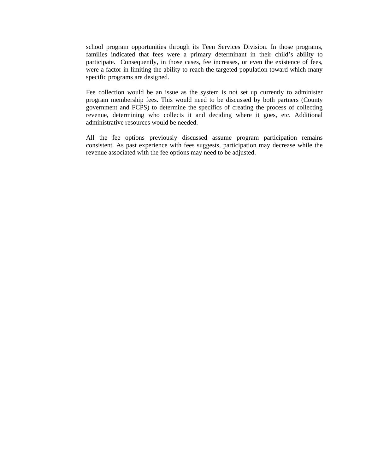school program opportunities through its Teen Services Division. In those programs, families indicated that fees were a primary determinant in their child's ability to participate. Consequently, in those cases, fee increases, or even the existence of fees, were a factor in limiting the ability to reach the targeted population toward which many specific programs are designed.

 Fee collection would be an issue as the system is not set up currently to administer program membership fees. This would need to be discussed by both partners (County government and FCPS) to determine the specifics of creating the process of collecting revenue, determining who collects it and deciding where it goes, etc. Additional administrative resources would be needed.

 All the fee options previously discussed assume program participation remains consistent. As past experience with fees suggests, participation may decrease while the revenue associated with the fee options may need to be adjusted.